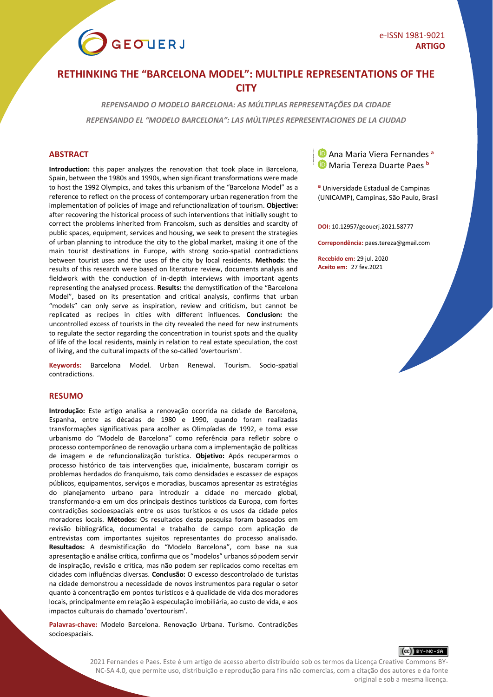

# **RETHINKING THE "BARCELONA MODEL": MULTIPLE REPRESENTATIONS OF THE CITY**

*REPENSANDO O MODELO BARCELONA: AS MÚLTIPLAS REPRESENTAÇÕES DA CIDADE*

*REPENSANDO EL "MODELO BARCELONA": LAS MÚLTIPLES REPRESENTACIONES DE LA CIUDAD*

**Introduction:** this paper analyzes the renovation that took place in Barcelona, Spain, between the 1980s and 1990s, when significant transformations were made to host the 1992 Olympics, and takes this urbanism of the "Barcelona Model" as a reference to reflect on the process of contemporary urban regeneration from the implementation of policies of image and refunctionalization of tourism. **Objective:** after recovering the historical process of such interventions that initially sought to correct the problems inherited from Francoism, such as densities and scarcity of public spaces, equipment, services and housing, we seek to present the strategies of urban planning to introduce the city to the global market, making it one of the main tourist destinations in Europe, with strong socio-spatial contradictions between tourist uses and the uses of the city by local residents. **Methods:** the results of this research were based on literature review, documents analysis and fieldwork with the conduction of in-depth interviews with important agents representing the analysed process. **Results:** the demystification of the "Barcelona Model", based on its presentation and critical analysis, confirms that urban "models" can only serve as inspiration, review and criticism, but cannot be replicated as recipes in cities with different influences. **Conclusion:** the uncontrolled excess of tourists in the city revealed the need for new instruments to regulate the sector regarding the concentration in tourist spots and the quality of life of the local residents, mainly in relation to real estate speculation, the cost of living, and the cultural impacts of the so-called 'overtourism'.

**Keywords:** Barcelona Model. Urban Renewal. Tourism. Socio-spatial contradictions.

### **RESUMO**

**Introdução:** Este artigo analisa a renovação ocorrida na cidade de Barcelona, Espanha, entre as décadas de 1980 e 1990, quando foram realizadas transformações significativas para acolher as Olimpíadas de 1992, e toma esse urbanismo do "Modelo de Barcelona" como referência para refletir sobre o processo contemporâneo de renovação urbana com a implementação de políticas de imagem e de refuncionalização turística. **Objetivo:** Após recuperarmos o processo histórico de tais intervenções que, inicialmente, buscaram corrigir os problemas herdados do franquismo, tais como densidades e escassez de espaços públicos, equipamentos, serviços e moradias, buscamos apresentar as estratégias do planejamento urbano para introduzir a cidade no mercado global, transformando-a em um dos principais destinos turísticos da Europa, com fortes contradições socioespaciais entre os usos turísticos e os usos da cidade pelos moradores locais. **Métodos:** Os resultados desta pesquisa foram baseados em revisão bibliográfica, documental e trabalho de campo com aplicação de entrevistas com importantes sujeitos representantes do processo analisado. **Resultados:** A desmistificação do "Modelo Barcelona", com base na sua apresentação e análise crítica, confirma que os "modelos" urbanos só podem servir de inspiração, revisão e crítica, mas não podem ser replicados como receitas em cidades com influências diversas. **Conclusão:** O excesso descontrolado de turistas na cidade demonstrou a necessidade de novos instrumentos para regular o setor quanto à concentração em pontos turísticos e à qualidade de vida dos moradores locais, principalmente em relação à especulação imobiliária, ao custo de vida, e aos impactos culturais do chamado 'overtourism'.

**Palavras-chave:** Modelo Barcelona. Renovação Urbana. Turismo. Contradições socioespaciais.



**<sup>a</sup>** Universidade Estadual de Campinas (UNICAMP), Campinas, São Paulo, Brasil

**DOI:** 10.12957/geouerj.2021.58777

**Correpondência:** paes.tereza@gmail.com

**Recebido em:** 29 jul. 2020 **Aceito em:** 27 fev.2021



2021 Fernandes e Paes. Este é um artigo de acesso aberto distribuído sob os termos da Licença Creative Commons BY-NC-SA 4.0, que permite uso, distribuição e reprodução para fins não comercias, com a citação dos autores e da fonte original e sob a mesma licença.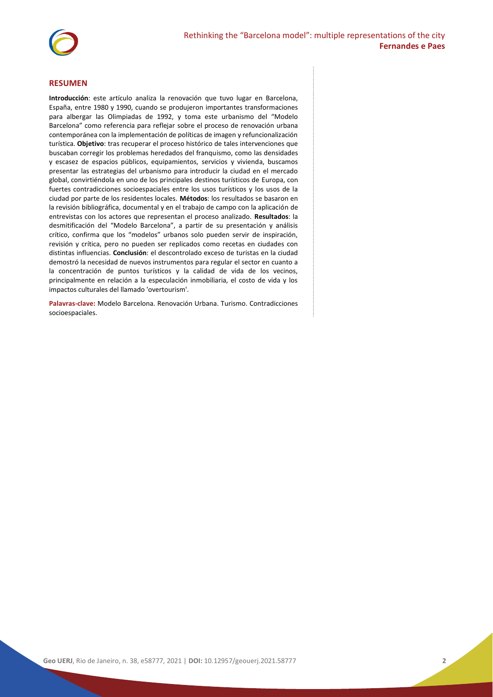

#### **RESUMEN**

**Introducción**: este artículo analiza la renovación que tuvo lugar en Barcelona, España, entre 1980 y 1990, cuando se produjeron importantes transformaciones para albergar las Olimpiadas de 1992, y toma este urbanismo del "Modelo Barcelona" como referencia para reflejar sobre el proceso de renovación urbana contemporánea con la implementación de políticas de imagen y refuncionalización turística. **Objetivo**: tras recuperar el proceso histórico de tales intervenciones que buscaban corregir los problemas heredados del franquismo, como las densidades y escasez de espacios públicos, equipamientos, servicios y vivienda, buscamos presentar las estrategias del urbanismo para introducir la ciudad en el mercado global, convirtiéndola en uno de los principales destinos turísticos de Europa, con fuertes contradicciones socioespaciales entre los usos turísticos y los usos de la ciudad por parte de los residentes locales. **Métodos**: los resultados se basaron en la revisión bibliográfica, documental y en el trabajo de campo con la aplicación de entrevistas con los actores que representan el proceso analizado. **Resultados**: la desmitificación del "Modelo Barcelona", a partir de su presentación y análisis crítico, confirma que los "modelos" urbanos solo pueden servir de inspiración, revisión y crítica, pero no pueden ser replicados como recetas en ciudades con distintas influencias. **Conclusión**: el descontrolado exceso de turistas en la ciudad demostró la necesidad de nuevos instrumentos para regular el sector en cuanto a la concentración de puntos turísticos y la calidad de vida de los vecinos, principalmente en relación a la especulación inmobiliaria, el costo de vida y los impactos culturales del llamado 'overtourism'.

**Palavras-clave:** Modelo Barcelona. Renovación Urbana. Turismo. Contradicciones socioespaciales.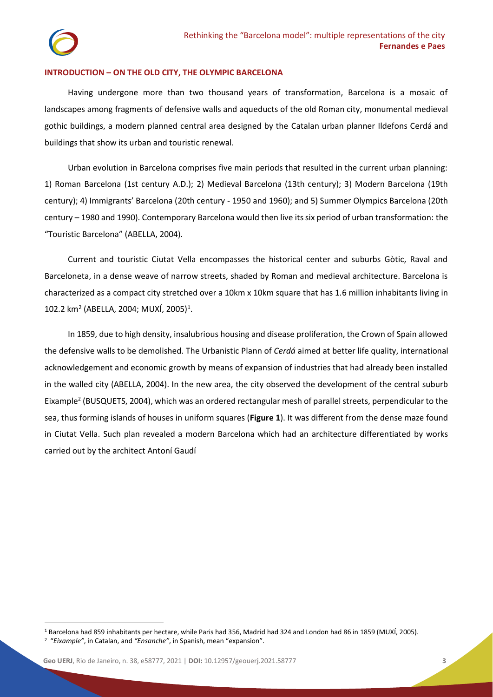## **INTRODUCTION – ON THE OLD CITY, THE OLYMPIC BARCELONA**

Having undergone more than two thousand years of transformation, Barcelona is a mosaic of landscapes among fragments of defensive walls and aqueducts of the old Roman city, monumental medieval gothic buildings, a modern planned central area designed by the Catalan urban planner Ildefons Cerdá and buildings that show its urban and touristic renewal.

Urban evolution in Barcelona comprises five main periods that resulted in the current urban planning: 1) Roman Barcelona (1st century A.D.); 2) Medieval Barcelona (13th century); 3) Modern Barcelona (19th century); 4) Immigrants' Barcelona (20th century - 1950 and 1960); and 5) Summer Olympics Barcelona (20th century – 1980 and 1990). Contemporary Barcelona would then live its six period of urban transformation: the "Touristic Barcelona" (ABELLA, 2004).

Current and touristic Ciutat Vella encompasses the historical center and suburbs Gòtic, Raval and Barceloneta, in a dense weave of narrow streets, shaded by Roman and medieval architecture. Barcelona is characterized as a compact city stretched over a 10km x 10km square that has 1.6 million inhabitants living in 102.2 km<sup>2</sup> (ABELLA, 2004; MUXÍ, 2005)<sup>1</sup>.

In 1859, due to high density, insalubrious housing and disease proliferation, the Crown of Spain allowed the defensive walls to be demolished. The Urbanistic Plann of *Cerdá* aimed at better life quality, international acknowledgement and economic growth by means of expansion of industries that had already been installed in the walled city (ABELLA, 2004). In the new area, the city observed the development of the central suburb Eixample<sup>2</sup> (BUSQUETS, 2004), which was an ordered rectangular mesh of parallel streets, perpendicular to the sea, thus forming islands of houses in uniform squares (**Figure 1**). It was different from the dense maze found in Ciutat Vella. Such plan revealed a modern Barcelona which had an architecture differentiated by works carried out by the architect Antoní Gaudí

<sup>1</sup> Barcelona had 859 inhabitants per hectare, while Paris had 356, Madrid had 324 and London had 86 in 1859 (MUXÍ, 2005). 2 "*Eixample"*, in Catalan, and *"Ensanche"*, in Spanish, mean "expansion".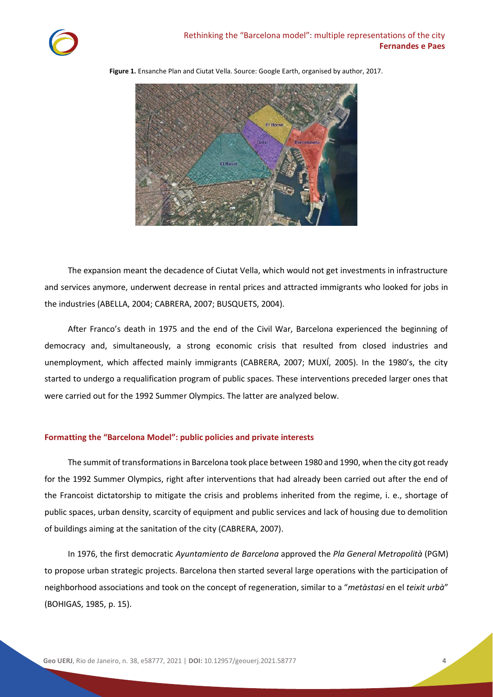

**Figure 1.** Ensanche Plan and Ciutat Vella. Source: Google Earth, organised by author, 2017.

The expansion meant the decadence of Ciutat Vella, which would not get investments in infrastructure and services anymore, underwent decrease in rental prices and attracted immigrants who looked for jobs in the industries (ABELLA, 2004; CABRERA, 2007; BUSQUETS, 2004).

After Franco's death in 1975 and the end of the Civil War, Barcelona experienced the beginning of democracy and, simultaneously, a strong economic crisis that resulted from closed industries and unemployment, which affected mainly immigrants (CABRERA, 2007; MUXÍ, 2005). In the 1980's, the city started to undergo a requalification program of public spaces. These interventions preceded larger ones that were carried out for the 1992 Summer Olympics. The latter are analyzed below.

## **Formatting the "Barcelona Model": public policies and private interests**

The summit of transformations in Barcelona took place between 1980 and 1990, when the city got ready for the 1992 Summer Olympics, right after interventions that had already been carried out after the end of the Francoist dictatorship to mitigate the crisis and problems inherited from the regime, i. e., shortage of public spaces, urban density, scarcity of equipment and public services and lack of housing due to demolition of buildings aiming at the sanitation of the city (CABRERA, 2007).

In 1976, the first democratic *Ayuntamiento de Barcelona* approved the *Pla General Metropolità* (PGM) to propose urban strategic projects. Barcelona then started several large operations with the participation of neighborhood associations and took on the concept of regeneration, similar to a "*metàstasi* en el *teixit urbà*" (BOHIGAS, 1985, p. 15).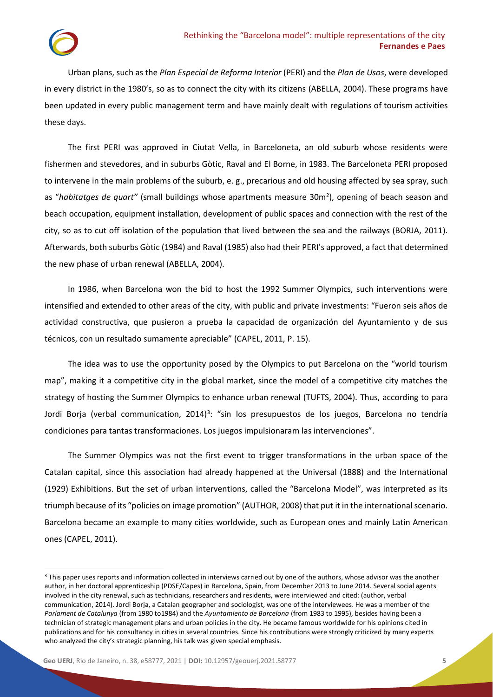Urban plans, such as the *Plan Especial de Reforma Interior* (PERI) and the *Plan de Usos*, were developed in every district in the 1980's, so as to connect the city with its citizens (ABELLA, 2004). These programs have been updated in every public management term and have mainly dealt with regulations of tourism activities these days.

The first PERI was approved in Ciutat Vella, in Barceloneta, an old suburb whose residents were fishermen and stevedores, and in suburbs Gòtic, Raval and El Borne, in 1983. The Barceloneta PERI proposed to intervene in the main problems of the suburb, e. g., precarious and old housing affected by sea spray, such as "habitatges de quart" (small buildings whose apartments measure 30m<sup>2</sup>), opening of beach season and beach occupation, equipment installation, development of public spaces and connection with the rest of the city, so as to cut off isolation of the population that lived between the sea and the railways (BORJA, 2011). Afterwards, both suburbs Gòtic (1984) and Raval (1985) also had their PERI's approved, a fact that determined the new phase of urban renewal (ABELLA, 2004).

In 1986, when Barcelona won the bid to host the 1992 Summer Olympics, such interventions were intensified and extended to other areas of the city, with public and private investments: "Fueron seis años de actividad constructiva, que pusieron a prueba la capacidad de organización del Ayuntamiento y de sus técnicos, con un resultado sumamente apreciable" (CAPEL, 2011, P. 15).

The idea was to use the opportunity posed by the Olympics to put Barcelona on the "world tourism map", making it a competitive city in the global market, since the model of a competitive city matches the strategy of hosting the Summer Olympics to enhance urban renewal (TUFTS, 2004). Thus, according to para Jordi Borja (verbal communication, 2014)<sup>3</sup>: "sin los presupuestos de los juegos, Barcelona no tendría condiciones para tantas transformaciones. Los juegos impulsionaram las intervenciones".

The Summer Olympics was not the first event to trigger transformations in the urban space of the Catalan capital, since this association had already happened at the Universal (1888) and the International (1929) Exhibitions. But the set of urban interventions, called the "Barcelona Model", was interpreted as its triumph because of its "policies on image promotion" (AUTHOR, 2008) that put it in the international scenario. Barcelona became an example to many cities worldwide, such as European ones and mainly Latin American ones (CAPEL, 2011).

<sup>&</sup>lt;sup>3</sup> This paper uses reports and information collected in interviews carried out by one of the authors, whose advisor was the another author, in her doctoral apprenticeship (PDSE/Capes) in Barcelona, Spain, from December 2013 to June 2014. Several social agents involved in the city renewal, such as technicians, researchers and residents, were interviewed and cited: (author, verbal communication, 2014). Jordi Borja, a Catalan geographer and sociologist, was one of the interviewees. He was a member of the *Parlament de Catalunya* (from 1980 to1984) and the *Ayuntamiento de Barcelona* (from 1983 to 1995), besides having been a technician of strategic management plans and urban policies in the city. He became famous worldwide for his opinions cited in publications and for his consultancy in cities in several countries. Since his contributions were strongly criticized by many experts who analyzed the city's strategic planning, his talk was given special emphasis.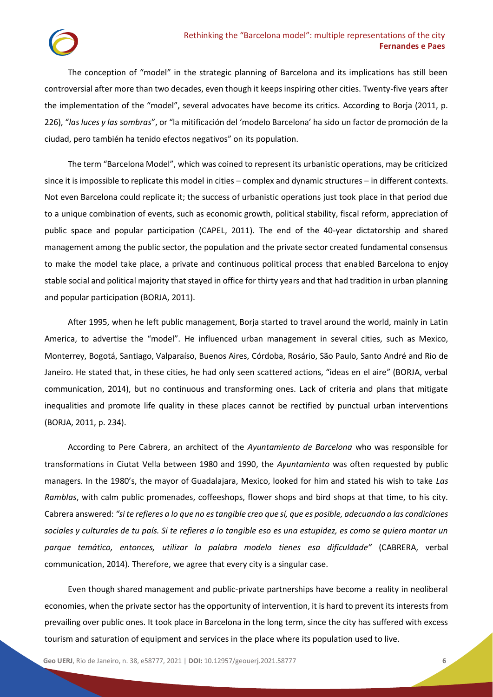## Rethinking the "Barcelona model": multiple representations of the city **Fernandes e Paes**

The conception of "model" in the strategic planning of Barcelona and its implications has still been controversial after more than two decades, even though it keeps inspiring other cities. Twenty-five years after the implementation of the "model", several advocates have become its critics. According to Borja (2011, p. 226), "*las luces y las sombras*", or "la mitificación del 'modelo Barcelona' ha sido un factor de promoción de la ciudad, pero también ha tenido efectos negativos" on its population.

The term "Barcelona Model", which was coined to represent its urbanistic operations, may be criticized since it is impossible to replicate this model in cities – complex and dynamic structures – in different contexts. Not even Barcelona could replicate it; the success of urbanistic operations just took place in that period due to a unique combination of events, such as economic growth, political stability, fiscal reform, appreciation of public space and popular participation (CAPEL, 2011). The end of the 40-year dictatorship and shared management among the public sector, the population and the private sector created fundamental consensus to make the model take place, a private and continuous political process that enabled Barcelona to enjoy stable social and political majority that stayed in office for thirty years and that had tradition in urban planning and popular participation (BORJA, 2011).

After 1995, when he left public management, Borja started to travel around the world, mainly in Latin America, to advertise the "model". He influenced urban management in several cities, such as Mexico, Monterrey, Bogotá, Santiago, Valparaíso, Buenos Aires, Córdoba, Rosário, São Paulo, Santo André and Rio de Janeiro. He stated that, in these cities, he had only seen scattered actions, "ideas en el aire" (BORJA, verbal communication, 2014), but no continuous and transforming ones. Lack of criteria and plans that mitigate inequalities and promote life quality in these places cannot be rectified by punctual urban interventions (BORJA, 2011, p. 234).

According to Pere Cabrera, an architect of the *Ayuntamiento de Barcelona* who was responsible for transformations in Ciutat Vella between 1980 and 1990, the *Ayuntamiento* was often requested by public managers. In the 1980's, the mayor of Guadalajara, Mexico, looked for him and stated his wish to take *Las Ramblas*, with calm public promenades, coffeeshops, flower shops and bird shops at that time, to his city. Cabrera answered: *"si te refieres a lo que no es tangible creo que sí, que es posible, adecuando a las condiciones sociales y culturales de tu país. Si te refieres a lo tangible eso es una estupidez, es como se quiera montar un parque temático, entonces, utilizar la palabra modelo tienes esa dificuldade"* (CABRERA, verbal communication, 2014). Therefore, we agree that every city is a singular case.

Even though shared management and public-private partnerships have become a reality in neoliberal economies, when the private sector has the opportunity of intervention, it is hard to prevent its interests from prevailing over public ones. It took place in Barcelona in the long term, since the city has suffered with excess tourism and saturation of equipment and services in the place where its population used to live.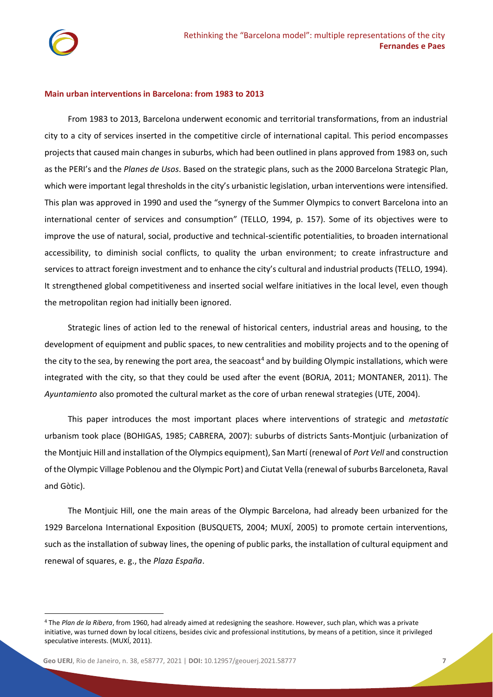## **Main urban interventions in Barcelona: from 1983 to 2013**

From 1983 to 2013, Barcelona underwent economic and territorial transformations, from an industrial city to a city of services inserted in the competitive circle of international capital. This period encompasses projects that caused main changes in suburbs, which had been outlined in plans approved from 1983 on, such as the PERI's and the *Planes de Usos*. Based on the strategic plans, such as the 2000 Barcelona Strategic Plan, which were important legal thresholds in the city's urbanistic legislation, urban interventions were intensified. This plan was approved in 1990 and used the "synergy of the Summer Olympics to convert Barcelona into an international center of services and consumption" (TELLO, 1994, p. 157). Some of its objectives were to improve the use of natural, social, productive and technical-scientific potentialities, to broaden international accessibility, to diminish social conflicts, to quality the urban environment; to create infrastructure and services to attract foreign investment and to enhance the city's cultural and industrial products (TELLO, 1994). It strengthened global competitiveness and inserted social welfare initiatives in the local level, even though the metropolitan region had initially been ignored.

Strategic lines of action led to the renewal of historical centers, industrial areas and housing, to the development of equipment and public spaces, to new centralities and mobility projects and to the opening of the city to the sea, by renewing the port area, the seacoast<sup>4</sup> and by building Olympic installations, which were integrated with the city, so that they could be used after the event (BORJA, 2011; MONTANER, 2011). The *Ayuntamiento* also promoted the cultural market as the core of urban renewal strategies (UTE, 2004).

This paper introduces the most important places where interventions of strategic and *metastatic* urbanism took place (BOHIGAS, 1985; CABRERA, 2007): suburbs of districts Sants-Montjuic (urbanization of the Montjuic Hill and installation of the Olympics equipment), San Martí (renewal of *Port Vell* and construction of the Olympic Village Poblenou and the Olympic Port) and Ciutat Vella (renewal of suburbs Barceloneta, Raval and Gòtic).

The Montjuic Hill, one the main areas of the Olympic Barcelona, had already been urbanized for the 1929 Barcelona International Exposition (BUSQUETS, 2004; MUXÍ, 2005) to promote certain interventions, such as the installation of subway lines, the opening of public parks, the installation of cultural equipment and renewal of squares, e. g., the *Plaza España*.

<sup>4</sup> The *Plan de la Ribera*, from 1960, had already aimed at redesigning the seashore. However, such plan, which was a private initiative, was turned down by local citizens, besides civic and professional institutions, by means of a petition, since it privileged speculative interests. (MUXÍ, 2011).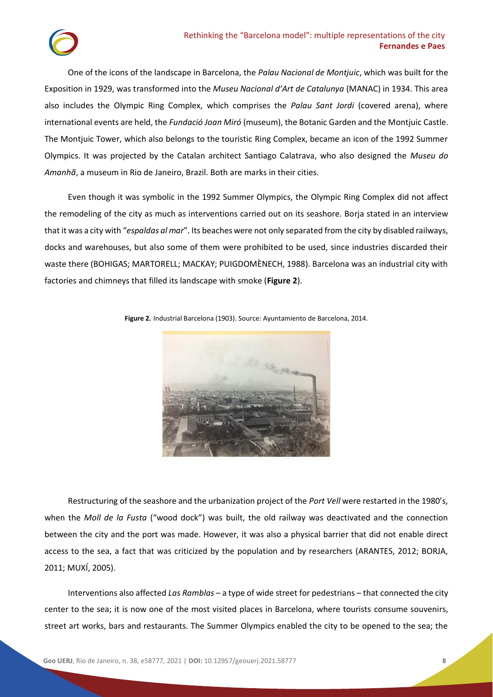

One of the icons of the landscape in Barcelona, the *Palau Nacional de Montjuic*, which was built for the Exposition in 1929, was transformed into the *Museu Nacional d'Art de Catalunya* (MANAC) in 1934. This area also includes the Olympic Ring Complex, which comprises the *Palau Sant Jordi* (covered arena), where international events are held, the *Fundació Joan Miró* (museum), the Botanic Garden and the Montjuic Castle. The Montjuic Tower, which also belongs to the touristic Ring Complex, became an icon of the 1992 Summer Olympics. It was projected by the Catalan architect Santiago Calatrava, who also designed the *Museu do Amanhã*, a museum in Rio de Janeiro, Brazil. Both are marks in their cities.

Even though it was symbolic in the 1992 Summer Olympics, the Olympic Ring Complex did not affect the remodeling of the city as much as interventions carried out on its seashore. Borja stated in an interview that it was a city with "*espaldas al mar*". Its beaches were not only separated from the city by disabled railways, docks and warehouses, but also some of them were prohibited to be used, since industries discarded their waste there (BOHIGAS; MARTORELL; MACKAY; PUIGDOMÈNECH, 1988). Barcelona was an industrial city with factories and chimneys that filled its landscape with smoke (**Figure 2**).



**Figure 2.** Industrial Barcelona (1903). Source: Ayuntamiento de Barcelona, 2014.

Restructuring of the seashore and the urbanization project of the *Port Vell* were restarted in the 1980's, when the *Moll de la Fusta* ("wood dock") was built, the old railway was deactivated and the connection between the city and the port was made. However, it was also a physical barrier that did not enable direct access to the sea, a fact that was criticized by the population and by researchers (ARANTES, 2012; BORJA, 2011; MUXÍ, 2005).

Interventions also affected *Las Ramblas* – a type of wide street for pedestrians – that connected the city center to the sea; it is now one of the most visited places in Barcelona, where tourists consume souvenirs, street art works, bars and restaurants. The Summer Olympics enabled the city to be opened to the sea; the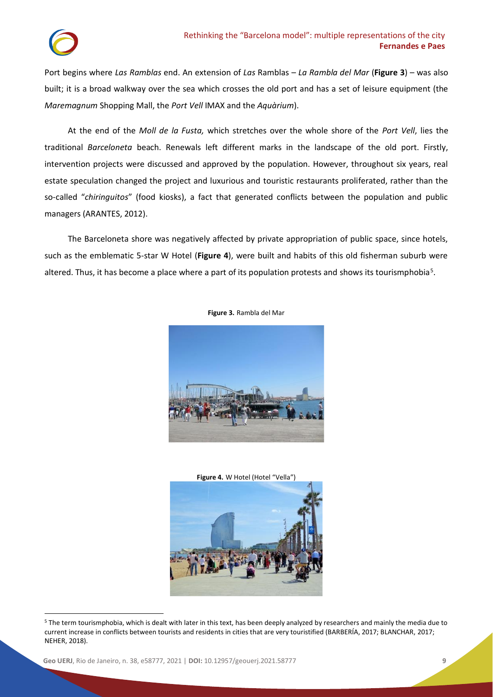Port begins where *Las Ramblas* end. An extension of *Las* Ramblas – *La Rambla del Mar* (**Figure 3**) – was also built; it is a broad walkway over the sea which crosses the old port and has a set of leisure equipment (the *Maremagnum* Shopping Mall, the *Port Vell* IMAX and the *Aquàrium*).

At the end of the *Moll de la Fusta,* which stretches over the whole shore of the *Port Vell*, lies the traditional *Barceloneta* beach. Renewals left different marks in the landscape of the old port. Firstly, intervention projects were discussed and approved by the population. However, throughout six years, real estate speculation changed the project and luxurious and touristic restaurants proliferated, rather than the so-called "*chiringuitos*" (food kiosks), a fact that generated conflicts between the population and public managers (ARANTES, 2012).

The Barceloneta shore was negatively affected by private appropriation of public space, since hotels, such as the emblematic 5-star W Hotel (**Figure 4**), were built and habits of this old fisherman suburb were altered. Thus, it has become a place where a part of its population protests and shows its tourismphobia<sup>5</sup>.



**Figure 3.** Rambla del Mar



<sup>5</sup> The term tourismphobia, which is dealt with later in this text, has been deeply analyzed by researchers and mainly the media due to current increase in conflicts between tourists and residents in cities that are very touristified (BARBERÍA, 2017; BLANCHAR, 2017; NEHER, 2018).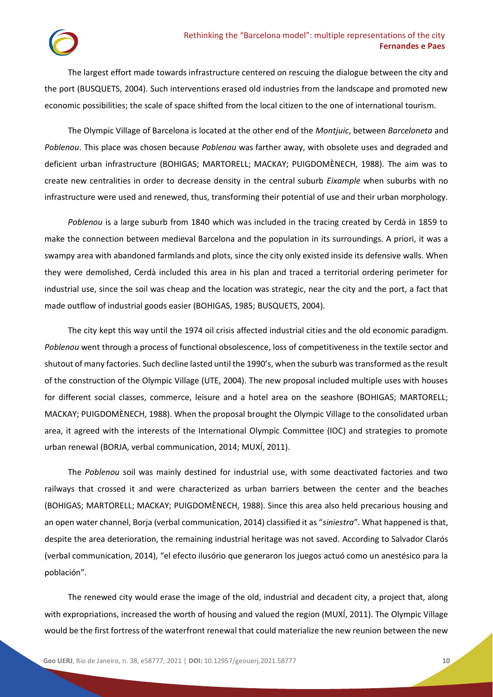The largest effort made towards infrastructure centered on rescuing the dialogue between the city and the port (BUSQUETS, 2004). Such interventions erased old industries from the landscape and promoted new economic possibilities; the scale of space shifted from the local citizen to the one of international tourism.

The Olympic Village of Barcelona is located at the other end of the *Montjuic*, between *Barceloneta* and *Poblenou*. This place was chosen because *Poblenou* was farther away, with obsolete uses and degraded and deficient urban infrastructure (BOHIGAS; MARTORELL; MACKAY; PUIGDOMÈNECH, 1988). The aim was to create new centralities in order to decrease density in the central suburb *Eixample* when suburbs with no infrastructure were used and renewed, thus, transforming their potential of use and their urban morphology.

*Poblenou* is a large suburb from 1840 which was included in the tracing created by Cerdà in 1859 to make the connection between medieval Barcelona and the population in its surroundings. A priori, it was a swampy area with abandoned farmlands and plots, since the city only existed inside its defensive walls. When they were demolished, Cerdà included this area in his plan and traced a territorial ordering perimeter for industrial use, since the soil was cheap and the location was strategic, near the city and the port, a fact that made outflow of industrial goods easier (BOHIGAS, 1985; BUSQUETS, 2004).

The city kept this way until the 1974 oil crisis affected industrial cities and the old economic paradigm. *Poblenou* went through a process of functional obsolescence, loss of competitiveness in the textile sector and shutout of many factories. Such decline lasted until the 1990's, when the suburb was transformed as the result of the construction of the Olympic Village (UTE, 2004). The new proposal included multiple uses with houses for different social classes, commerce, leisure and a hotel area on the seashore (BOHIGAS; MARTORELL; MACKAY; PUIGDOMÈNECH, 1988). When the proposal brought the Olympic Village to the consolidated urban area, it agreed with the interests of the International Olympic Committee (IOC) and strategies to promote urban renewal (BORJA, verbal communication, 2014; MUXÍ, 2011).

The *Poblenou* soil was mainly destined for industrial use, with some deactivated factories and two railways that crossed it and were characterized as urban barriers between the center and the beaches (BOHIGAS; MARTORELL; MACKAY; PUIGDOMÈNECH, 1988). Since this area also held precarious housing and an open water channel, Borja (verbal communication, 2014) classified it as "*siniestra*". What happened is that, despite the area deterioration, the remaining industrial heritage was not saved. According to Salvador Clarós (verbal communication, 2014), "el efecto ilusório que generaron los juegos actuó como un anestésico para la población".

The renewed city would erase the image of the old, industrial and decadent city, a project that, along with expropriations, increased the worth of housing and valued the region (MUXÍ, 2011). The Olympic Village would be the first fortress of the waterfront renewal that could materialize the new reunion between the new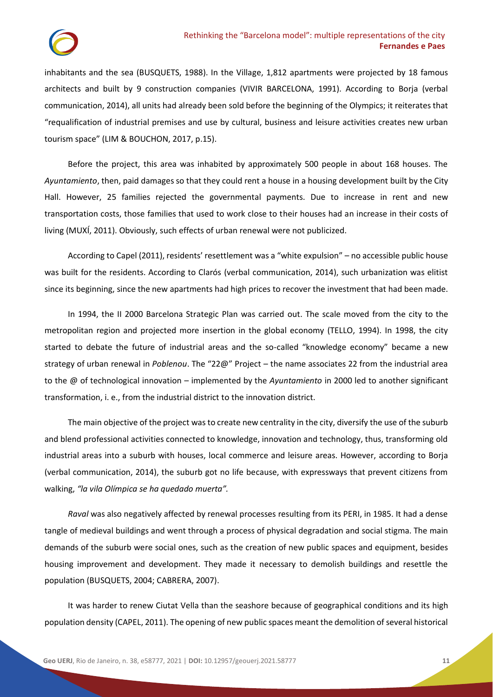inhabitants and the sea (BUSQUETS, 1988). In the Village, 1,812 apartments were projected by 18 famous architects and built by 9 construction companies (VIVIR BARCELONA, 1991). According to Borja (verbal communication, 2014), all units had already been sold before the beginning of the Olympics; it reiterates that "requalification of industrial premises and use by cultural, business and leisure activities creates new urban tourism space" (LIM & BOUCHON, 2017, p.15).

Before the project, this area was inhabited by approximately 500 people in about 168 houses. The *Ayuntamiento*, then, paid damages so that they could rent a house in a housing development built by the City Hall. However, 25 families rejected the governmental payments. Due to increase in rent and new transportation costs, those families that used to work close to their houses had an increase in their costs of living (MUXÍ, 2011). Obviously, such effects of urban renewal were not publicized.

According to Capel (2011), residents' resettlement was a "white expulsion" – no accessible public house was built for the residents. According to Clarós (verbal communication, 2014), such urbanization was elitist since its beginning, since the new apartments had high prices to recover the investment that had been made.

In 1994, the II 2000 Barcelona Strategic Plan was carried out. The scale moved from the city to the metropolitan region and projected more insertion in the global economy (TELLO, 1994). In 1998, the city started to debate the future of industrial areas and the so-called "knowledge economy" became a new strategy of urban renewal in *Poblenou*. The "22@" Project – the name associates 22 from the industrial area to the @ of technological innovation – implemented by the *Ayuntamiento* in 2000 led to another significant transformation, i. e., from the industrial district to the innovation district.

The main objective of the project was to create new centrality in the city, diversify the use of the suburb and blend professional activities connected to knowledge, innovation and technology, thus, transforming old industrial areas into a suburb with houses, local commerce and leisure areas. However, according to Borja (verbal communication, 2014), the suburb got no life because, with expressways that prevent citizens from walking, *"la vila Olímpica se ha quedado muerta".*

*Raval* was also negatively affected by renewal processes resulting from its PERI, in 1985. It had a dense tangle of medieval buildings and went through a process of physical degradation and social stigma. The main demands of the suburb were social ones, such as the creation of new public spaces and equipment, besides housing improvement and development. They made it necessary to demolish buildings and resettle the population (BUSQUETS, 2004; CABRERA, 2007).

It was harder to renew Ciutat Vella than the seashore because of geographical conditions and its high population density (CAPEL, 2011). The opening of new public spaces meant the demolition of several historical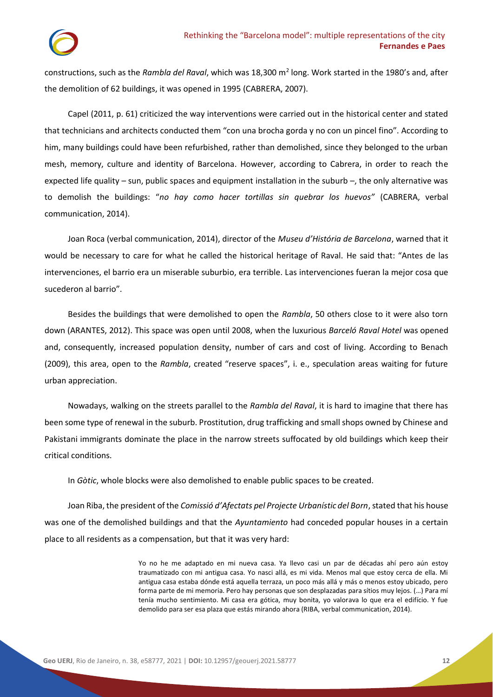constructions, such as the *Rambla del Raval*, which was 18,300 m<sup>2</sup> long. Work started in the 1980's and, after the demolition of 62 buildings, it was opened in 1995 (CABRERA, 2007).

Capel (2011, p. 61) criticized the way interventions were carried out in the historical center and stated that technicians and architects conducted them "con una brocha gorda y no con un pincel fino". According to him, many buildings could have been refurbished, rather than demolished, since they belonged to the urban mesh, memory, culture and identity of Barcelona. However, according to Cabrera, in order to reach the expected life quality – sun, public spaces and equipment installation in the suburb –, the only alternative was to demolish the buildings: "*no hay como hacer tortillas sin quebrar los huevos"* (CABRERA, verbal communication, 2014).

Joan Roca (verbal communication, 2014), director of the *Museu d'História de Barcelona*, warned that it would be necessary to care for what he called the historical heritage of Raval. He said that: "Antes de las intervenciones, el barrio era un miserable suburbio, era terrible. Las intervenciones fueran la mejor cosa que sucederon al barrio".

Besides the buildings that were demolished to open the *Rambla*, 50 others close to it were also torn down (ARANTES, 2012). This space was open until 2008, when the luxurious *Barceló Raval Hotel* was opened and, consequently, increased population density, number of cars and cost of living. According to Benach (2009), this area, open to the *Rambla*, created "reserve spaces", i. e., speculation areas waiting for future urban appreciation.

Nowadays, walking on the streets parallel to the *Rambla del Raval*, it is hard to imagine that there has been some type of renewal in the suburb. Prostitution, drug trafficking and small shops owned by Chinese and Pakistani immigrants dominate the place in the narrow streets suffocated by old buildings which keep their critical conditions.

In *Gòtic*, whole blocks were also demolished to enable public spaces to be created.

Joan Riba, the president of the *Comissió d'Afectats pel Projecte Urbanístic del Born*, stated that his house was one of the demolished buildings and that the *Ayuntamiento* had conceded popular houses in a certain place to all residents as a compensation, but that it was very hard:

> Yo no he me adaptado en mi nueva casa. Ya llevo casi un par de décadas ahí pero aún estoy traumatizado con mi antigua casa. Yo nasci allá, es mi vida. Menos mal que estoy cerca de ella. Mi antigua casa estaba dónde está aquella terraza, un poco más allá y más o menos estoy ubicado, pero forma parte de mi memoria. Pero hay personas que son desplazadas para sítios muy lejos. (…) Para mí tenía mucho sentimiento. Mi casa era gótica, muy bonita, yo valorava lo que era el edifício. Y fue demolido para ser esa plaza que estás mirando ahora (RIBA, verbal communication, 2014).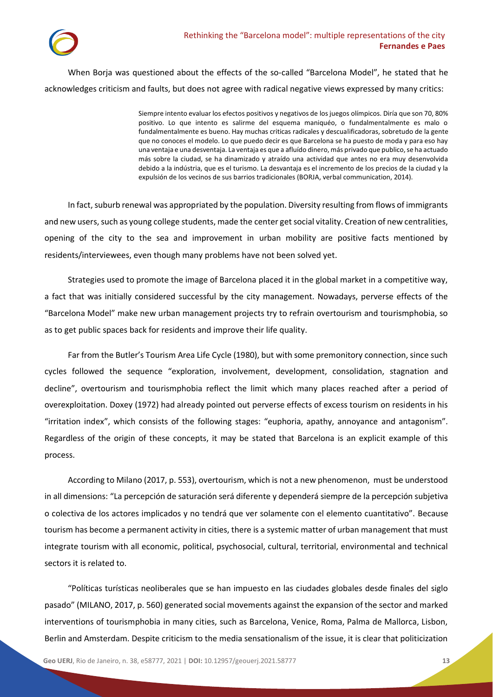

When Borja was questioned about the effects of the so-called "Barcelona Model", he stated that he acknowledges criticism and faults, but does not agree with radical negative views expressed by many critics:

> Siempre intento evaluar los efectos positivos y negativos de los juegos olímpicos. Diría que son 70, 80% positivo. Lo que intento es salirme del esquema maniquéo, o fundalmentalmente es malo o fundalmentalmente es bueno. Hay muchas criticas radicales y descualificadoras, sobretudo de la gente que no conoces el modelo. Lo que puedo decir es que Barcelona se ha puesto de moda y para eso hay una ventaja e una desventaja. La ventaja es que a afluído dinero, más privado que publico, se ha actuado más sobre la ciudad, se ha dinamizado y atraído una actividad que antes no era muy desenvolvida debido a la indústria, que es el turismo. La desvantaja es el incremento de los precios de la ciudad y la expulsión de los vecinos de sus barrios tradicionales (BORJA, verbal communication, 2014).

In fact, suburb renewal was appropriated by the population. Diversity resulting from flows of immigrants and new users, such as young college students, made the center get social vitality. Creation of new centralities, opening of the city to the sea and improvement in urban mobility are positive facts mentioned by residents/interviewees, even though many problems have not been solved yet.

Strategies used to promote the image of Barcelona placed it in the global market in a competitive way, a fact that was initially considered successful by the city management. Nowadays, perverse effects of the "Barcelona Model" make new urban management projects try to refrain overtourism and tourismphobia, so as to get public spaces back for residents and improve their life quality.

Far from the Butler's Tourism Area Life Cycle (1980), but with some premonitory connection, since such cycles followed the sequence "exploration, involvement, development, consolidation, stagnation and decline", overtourism and tourismphobia reflect the limit which many places reached after a period of overexploitation. Doxey (1972) had already pointed out perverse effects of excess tourism on residents in his "irritation index", which consists of the following stages: "euphoria, apathy, annoyance and antagonism". Regardless of the origin of these concepts, it may be stated that Barcelona is an explicit example of this process.

According to Milano (2017, p. 553), overtourism, which is not a new phenomenon, must be understood in all dimensions: "La percepción de saturación será diferente y dependerá siempre de la percepción subjetiva o colectiva de los actores implicados y no tendrá que ver solamente con el elemento cuantitativo". Because tourism has become a permanent activity in cities, there is a systemic matter of urban management that must integrate tourism with all economic, political, psychosocial, cultural, territorial, environmental and technical sectors it is related to.

"Políticas turísticas neoliberales que se han impuesto en las ciudades globales desde finales del siglo pasado" (MILANO, 2017, p. 560) generated social movements against the expansion of the sector and marked interventions of tourismphobia in many cities, such as Barcelona, Venice, Roma, Palma de Mallorca, Lisbon, Berlin and Amsterdam. Despite criticism to the media sensationalism of the issue, it is clear that politicization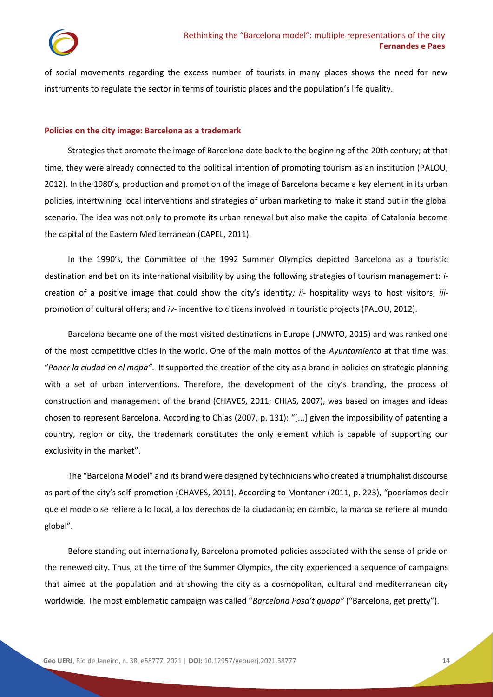of social movements regarding the excess number of tourists in many places shows the need for new instruments to regulate the sector in terms of touristic places and the population's life quality.

## **Policies on the city image: Barcelona as a trademark**

Strategies that promote the image of Barcelona date back to the beginning of the 20th century; at that time, they were already connected to the political intention of promoting tourism as an institution (PALOU, 2012). In the 1980's, production and promotion of the image of Barcelona became a key element in its urban policies, intertwining local interventions and strategies of urban marketing to make it stand out in the global scenario. The idea was not only to promote its urban renewal but also make the capital of Catalonia become the capital of the Eastern Mediterranean (CAPEL, 2011).

In the 1990's, the Committee of the 1992 Summer Olympics depicted Barcelona as a touristic destination and bet on its international visibility by using the following strategies of tourism management: *i*creation of a positive image that could show the city's identity*; ii-* hospitality ways to host visitors; *iii*promotion of cultural offers; and *iv-* incentive to citizens involved in touristic projects (PALOU, 2012).

Barcelona became one of the most visited destinations in Europe (UNWTO, 2015) and was ranked one of the most competitive cities in the world. One of the main mottos of the *Ayuntamiento* at that time was: "*Poner la ciudad en el mapa"*. It supported the creation of the city as a brand in policies on strategic planning with a set of urban interventions. Therefore, the development of the city's branding, the process of construction and management of the brand (CHAVES, 2011; CHIAS, 2007), was based on images and ideas chosen to represent Barcelona. According to Chias (2007, p. 131): "[...] given the impossibility of patenting a country, region or city, the trademark constitutes the only element which is capable of supporting our exclusivity in the market".

The "Barcelona Model" and its brand were designed by technicians who created a triumphalist discourse as part of the city's self-promotion (CHAVES, 2011). According to Montaner (2011, p. 223), "podríamos decir que el modelo se refiere a lo local, a los derechos de la ciudadanía; en cambio, la marca se refiere al mundo global".

Before standing out internationally, Barcelona promoted policies associated with the sense of pride on the renewed city. Thus, at the time of the Summer Olympics, the city experienced a sequence of campaigns that aimed at the population and at showing the city as a cosmopolitan, cultural and mediterranean city worldwide. The most emblematic campaign was called "*Barcelona Posa't guapa"* ("Barcelona, get pretty").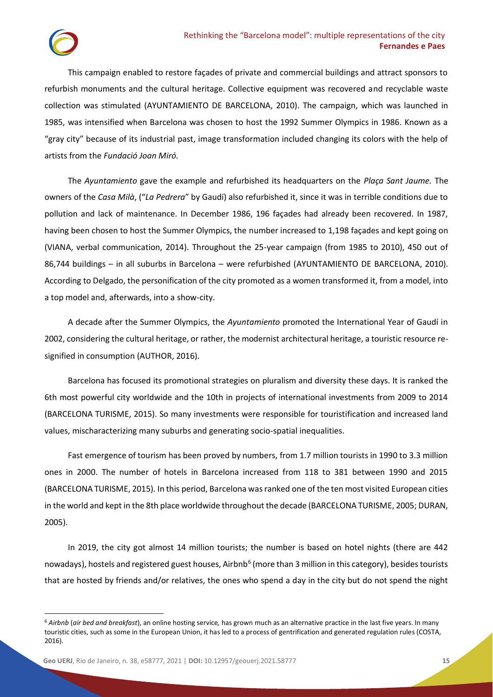This campaign enabled to restore façades of private and commercial buildings and attract sponsors to refurbish monuments and the cultural heritage. Collective equipment was recovered and recyclable waste collection was stimulated (AYUNTAMIENTO DE BARCELONA, 2010). The campaign, which was launched in 1985, was intensified when Barcelona was chosen to host the 1992 Summer Olympics in 1986. Known as a "gray city" because of its industrial past, image transformation included changing its colors with the help of artists from the *Fundació Joan Miró.* 

The *Ayuntamiento* gave the example and refurbished its headquarters on the *Plaça Sant Jaume.* The owners of the *Casa Milà*, ("*La Pedrera*" by Gaudí) also refurbished it, since it was in terrible conditions due to pollution and lack of maintenance. In December 1986, 196 façades had already been recovered. In 1987, having been chosen to host the Summer Olympics, the number increased to 1,198 façades and kept going on (VIANA, verbal communication, 2014). Throughout the 25-year campaign (from 1985 to 2010), 450 out of 86,744 buildings – in all suburbs in Barcelona – were refurbished (AYUNTAMIENTO DE BARCELONA, 2010). According to Delgado, the personification of the city promoted as a women transformed it, from a model, into a top model and, afterwards, into a show-city.

A decade after the Summer Olympics, the *Ayuntamiento* promoted the International Year of Gaudí in 2002, considering the cultural heritage, or rather, the modernist architectural heritage, a touristic resource resignified in consumption (AUTHOR, 2016).

Barcelona has focused its promotional strategies on pluralism and diversity these days. It is ranked the 6th most powerful city worldwide and the 10th in projects of international investments from 2009 to 2014 (BARCELONA TURISME, 2015). So many investments were responsible for touristification and increased land values, mischaracterizing many suburbs and generating socio-spatial inequalities.

Fast emergence of tourism has been proved by numbers, from 1.7 million tourists in 1990 to 3.3 million ones in 2000. The number of hotels in Barcelona increased from 118 to 381 between 1990 and 2015 (BARCELONA TURISME, 2015). In this period, Barcelona was ranked one of the ten most visited European cities in the world and kept in the 8th place worldwide throughout the decade (BARCELONA TURISME, 2005; DURAN, 2005).

In 2019, the city got almost 14 million tourists; the number is based on hotel nights (there are 442 nowadays), hostels and registered guest houses, Airbnb<sup>6</sup> (more than 3 million in this category), besides tourists that are hosted by friends and/or relatives, the ones who spend a day in the city but do not spend the night

<sup>6</sup> *Airbnb* (*air bed and breakfast*), an online hosting service*,* has grown much as an alternative practice in the last five years. In many touristic cities, such as some in the European Union, it has led to a process of gentrification and generated regulation rules (COSTA, 2016).

**Geo UERJ**, Rio de Janeiro, n. 38, e58777, 2021 | **DOI:** [10.12957/geouerj.2021.58777](https://doi.org/10.12957/geouerj.2021.58777) **15**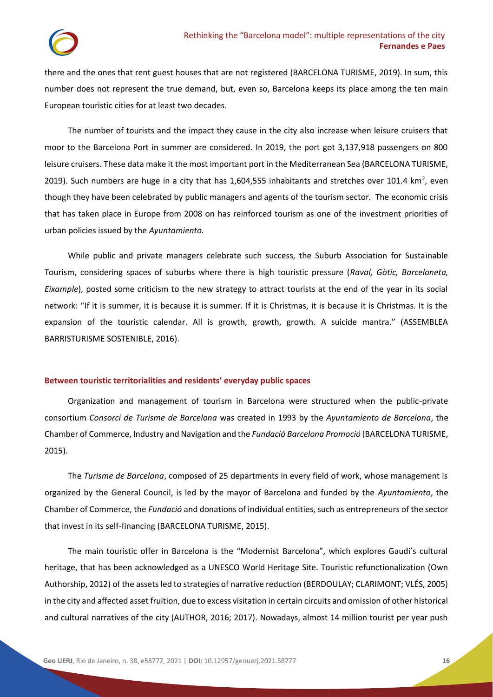there and the ones that rent guest houses that are not registered (BARCELONA TURISME, 2019). In sum, this number does not represent the true demand, but, even so, Barcelona keeps its place among the ten main European touristic cities for at least two decades.

The number of tourists and the impact they cause in the city also increase when leisure cruisers that moor to the Barcelona Port in summer are considered. In 2019, the port got 3,137,918 passengers on 800 leisure cruisers. These data make it the most important port in the Mediterranean Sea (BARCELONA TURISME, 2019). Such numbers are huge in a city that has 1,604,555 inhabitants and stretches over 101.4 km<sup>2</sup>, even though they have been celebrated by public managers and agents of the tourism sector. The economic crisis that has taken place in Europe from 2008 on has reinforced tourism as one of the investment priorities of urban policies issued by the *Ayuntamiento.*

While public and private managers celebrate such success, the Suburb Association for Sustainable Tourism, considering spaces of suburbs where there is high touristic pressure (*Raval, Gòtic, Barceloneta, Eixample*), posted some criticism to the new strategy to attract tourists at the end of the year in its social network: "If it is summer, it is because it is summer. If it is Christmas, it is because it is Christmas. It is the expansion of the touristic calendar. All is growth, growth, growth. A suicide mantra." (ASSEMBLEA BARRISTURISME SOSTENIBLE, 2016).

## **Between touristic territorialities and residents' everyday public spaces**

Organization and management of tourism in Barcelona were structured when the public-private consortium *Consorci de Turisme de Barcelona* was created in 1993 by the *Ayuntamiento de Barcelona*, the Chamber of Commerce, Industry and Navigation and the *Fundació Barcelona Promoció* (BARCELONA TURISME, 2015).

The *Turisme de Barcelona*, composed of 25 departments in every field of work, whose management is organized by the General Council, is led by the mayor of Barcelona and funded by the *Ayuntamiento*, the Chamber of Commerce, the *Fundació* and donations of individual entities, such as entrepreneurs of the sector that invest in its self-financing (BARCELONA TURISME, 2015).

The main touristic offer in Barcelona is the "Modernist Barcelona", which explores Gaudí's cultural heritage, that has been acknowledged as a UNESCO World Heritage Site. Touristic refunctionalization (Own Authorship, 2012) of the assets led to strategies of narrative reduction (BERDOULAY; CLARIMONT; VLÉS, 2005) in the city and affected asset fruition, due to excess visitation in certain circuits and omission of other historical and cultural narratives of the city (AUTHOR, 2016; 2017). Nowadays, almost 14 million tourist per year push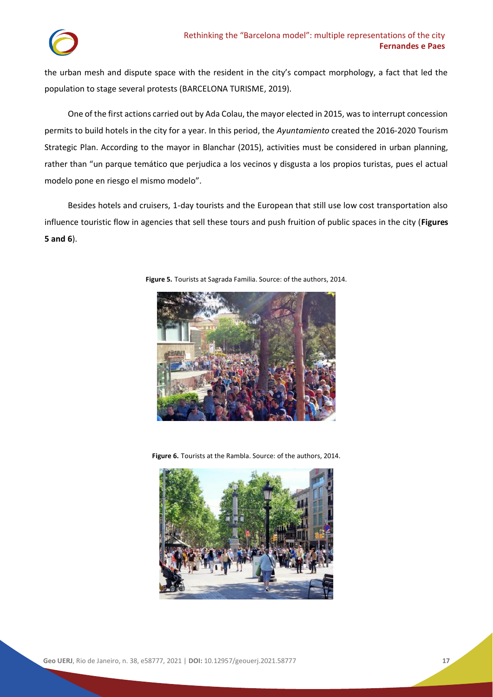the urban mesh and dispute space with the resident in the city's compact morphology, a fact that led the population to stage several protests (BARCELONA TURISME, 2019).

One of the first actions carried out by Ada Colau, the mayor elected in 2015, was to interrupt concession permits to build hotels in the city for a year. In this period, the *Ayuntamiento* created the 2016-2020 Tourism Strategic Plan. According to the mayor in Blanchar (2015), activities must be considered in urban planning, rather than "un parque temático que perjudica a los vecinos y disgusta a los propios turistas, pues el actual modelo pone en riesgo el mismo modelo".

Besides hotels and cruisers, 1-day tourists and the European that still use low cost transportation also influence touristic flow in agencies that sell these tours and push fruition of public spaces in the city (**Figures 5 and 6**).



**Figure 5.** Tourists at Sagrada Familia. Source: of the authors, 2014.

**Figure 6.** Tourists at the Rambla. Source: of the authors, 2014.

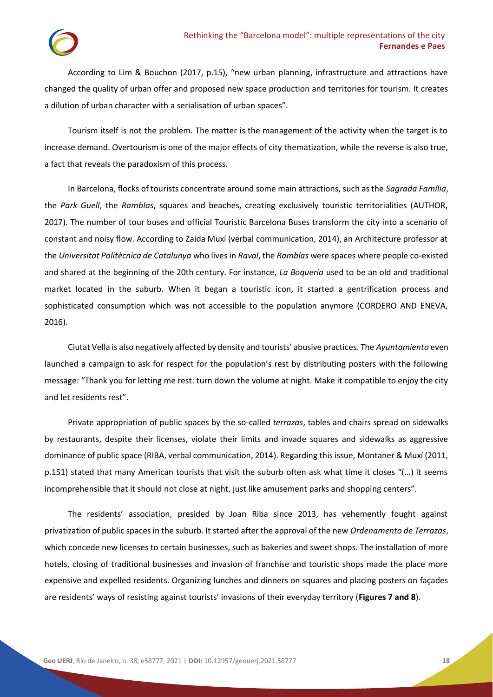According to Lim & Bouchon (2017, p.15), "new urban planning, infrastructure and attractions have changed the quality of urban offer and proposed new space production and territories for tourism. It creates a dilution of urban character with a serialisation of urban spaces".

Tourism itself is not the problem. The matter is the management of the activity when the target is to increase demand. Overtourism is one of the major effects of city thematization, while the reverse is also true, a fact that reveals the paradoxism of this process.

In Barcelona, flocks of tourists concentrate around some main attractions, such as the *Sagrada Família*, the *Park Guell*, the *Ramblas*, squares and beaches, creating exclusively touristic territorialities (AUTHOR, 2017). The number of tour buses and official Touristic Barcelona Buses transform the city into a scenario of constant and noisy flow. According to Zaida Muxí (verbal communication, 2014), an Architecture professor at the *Universitat Politècnica de Catalunya* who lives in *Raval*, the *Ramblas* were spaces where people co-existed and shared at the beginning of the 20th century. For instance, *La Boquería* used to be an old and traditional market located in the suburb. When it began a touristic icon, it started a gentrification process and sophisticated consumption which was not accessible to the population anymore (CORDERO AND ENEVA, 2016).

Ciutat Vella is also negatively affected by density and tourists' abusive practices. The *Ayuntamiento* even launched a campaign to ask for respect for the population's rest by distributing posters with the following message: "Thank you for letting me rest: turn down the volume at night. Make it compatible to enjoy the city and let residents rest".

Private appropriation of public spaces by the so-called *terrazas*, tables and chairs spread on sidewalks by restaurants, despite their licenses, violate their limits and invade squares and sidewalks as aggressive dominance of public space (RIBA, verbal communication, 2014). Regarding this issue, Montaner & Muxí (2011, p.151) stated that many American tourists that visit the suburb often ask what time it closes "(…) it seems incomprehensible that it should not close at night, just like amusement parks and shopping centers".

The residents' association, presided by Joan Riba since 2013, has vehemently fought against privatization of public spaces in the suburb. It started after the approval of the new *Ordenamento de Terrazas*, which concede new licenses to certain businesses, such as bakeries and sweet shops. The installation of more hotels, closing of traditional businesses and invasion of franchise and touristic shops made the place more expensive and expelled residents. Organizing lunches and dinners on squares and placing posters on façades are residents' ways of resisting against tourists' invasions of their everyday territory (**Figures 7 and 8**).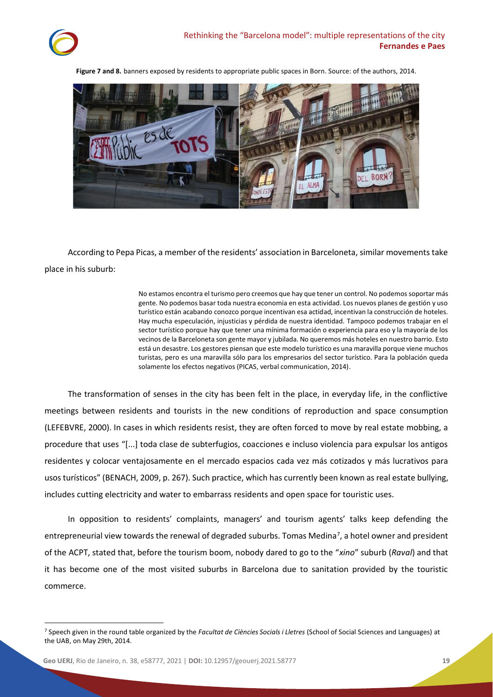

**Figure 7 and 8.** banners exposed by residents to appropriate public spaces in Born. Source: of the authors, 2014.



According to Pepa Picas, a member of the residents' association in Barceloneta, similar movements take place in his suburb:

> No estamos encontra el turismo pero creemos que hay que tener un control. No podemos soportar más gente. No podemos basar toda nuestra economia en esta actividad. Los nuevos planes de gestión y uso turístico están acabando conozco porque incentivan esa actidad, incentivan la construcción de hoteles. Hay mucha especulación, injusticias y pérdida de nuestra identidad. Tampoco podemos trabajar en el sector turístico porque hay que tener una mínima formación o experiencia para eso y la mayoría de los vecinos de la Barceloneta son gente mayor y jubilada. No queremos más hoteles en nuestro barrio. Esto está un desastre. Los gestores piensan que este modelo turístico es una maravilla porque viene muchos turistas, pero es una maravilla sólo para los empresarios del sector turístico. Para la población queda solamente los efectos negativos (PICAS, verbal communication, 2014).

The transformation of senses in the city has been felt in the place, in everyday life, in the conflictive meetings between residents and tourists in the new conditions of reproduction and space consumption (LEFEBVRE, 2000). In cases in which residents resist, they are often forced to move by real estate mobbing, a procedure that uses "[...] toda clase de subterfugios, coacciones e incluso violencia para expulsar los antigos residentes y colocar ventajosamente en el mercado espacios cada vez más cotizados y más lucrativos para usos turísticos" (BENACH, 2009, p. 267). Such practice, which has currently been known as real estate bullying, includes cutting electricity and water to embarrass residents and open space for touristic uses.

In opposition to residents' complaints, managers' and tourism agents' talks keep defending the entrepreneurial view towards the renewal of degraded suburbs. Tomas Medina<sup>7</sup>, a hotel owner and president of the ACPT, stated that, before the tourism boom, nobody dared to go to the "*xino*" suburb (*Raval*) and that it has become one of the most visited suburbs in Barcelona due to sanitation provided by the touristic commerce.

<sup>7</sup> Speech given in the round table organized by the *Facultat de Ciències Socials i Lletres* (School of Social Sciences and Languages) at the UAB, on May 29th, 2014.

**Geo UERJ**, Rio de Janeiro, n. 38, e58777, 2021 | **DOI:** [10.12957/geouerj.2021.58777](https://doi.org/10.12957/geouerj.2021.58777) **19**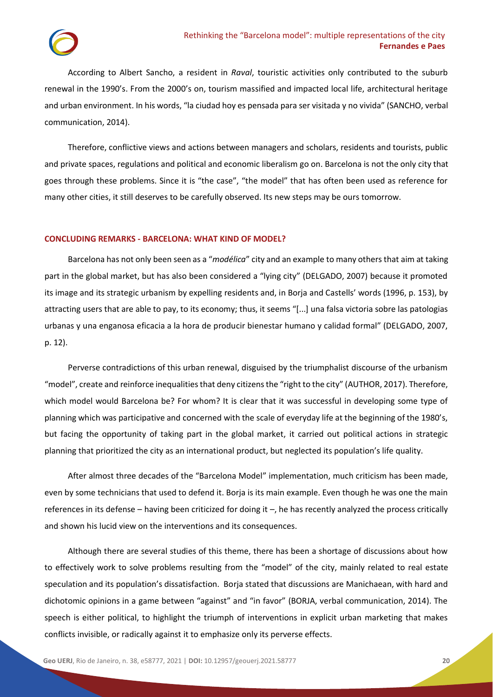According to Albert Sancho, a resident in *Raval*, touristic activities only contributed to the suburb renewal in the 1990's. From the 2000's on, tourism massified and impacted local life, architectural heritage and urban environment. In his words, "la ciudad hoy es pensada para ser visitada y no vivida" (SANCHO, verbal communication, 2014).

Therefore, conflictive views and actions between managers and scholars, residents and tourists, public and private spaces, regulations and political and economic liberalism go on. Barcelona is not the only city that goes through these problems. Since it is "the case", "the model" that has often been used as reference for many other cities, it still deserves to be carefully observed. Its new steps may be ours tomorrow.

## **CONCLUDING REMARKS - BARCELONA: WHAT KIND OF MODEL?**

Barcelona has not only been seen as a "*modélica*" city and an example to many others that aim at taking part in the global market, but has also been considered a "lying city" (DELGADO, 2007) because it promoted its image and its strategic urbanism by expelling residents and, in Borja and Castells' words (1996, p. 153), by attracting users that are able to pay, to its economy; thus, it seems "[...] una falsa victoria sobre las patologias urbanas y una enganosa eficacia a la hora de producir bienestar humano y calidad formal" (DELGADO, 2007, p. 12).

Perverse contradictions of this urban renewal, disguised by the triumphalist discourse of the urbanism "model", create and reinforce inequalities that deny citizens the "right to the city" (AUTHOR, 2017). Therefore, which model would Barcelona be? For whom? It is clear that it was successful in developing some type of planning which was participative and concerned with the scale of everyday life at the beginning of the 1980's, but facing the opportunity of taking part in the global market, it carried out political actions in strategic planning that prioritized the city as an international product, but neglected its population's life quality.

After almost three decades of the "Barcelona Model" implementation, much criticism has been made, even by some technicians that used to defend it. Borja is its main example. Even though he was one the main references in its defense – having been criticized for doing it –, he has recently analyzed the process critically and shown his lucid view on the interventions and its consequences.

Although there are several studies of this theme, there has been a shortage of discussions about how to effectively work to solve problems resulting from the "model" of the city, mainly related to real estate speculation and its population's dissatisfaction. Borja stated that discussions are Manichaean, with hard and dichotomic opinions in a game between "against" and "in favor" (BORJA, verbal communication, 2014). The speech is either political, to highlight the triumph of interventions in explicit urban marketing that makes conflicts invisible, or radically against it to emphasize only its perverse effects.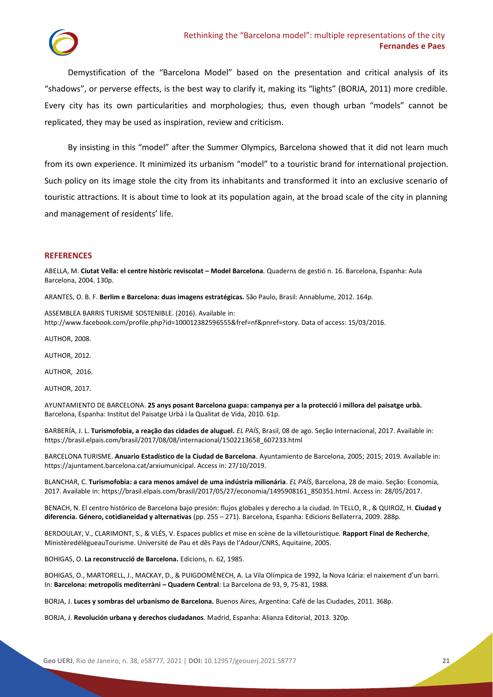

Demystification of the "Barcelona Model" based on the presentation and critical analysis of its "shadows", or perverse effects, is the best way to clarify it, making its "lights" (BORJA, 2011) more credible. Every city has its own particularities and morphologies; thus, even though urban "models" cannot be replicated, they may be used as inspiration, review and criticism.

By insisting in this "model" after the Summer Olympics, Barcelona showed that it did not learn much from its own experience. It minimized its urbanism "model" to a touristic brand for international projection. Such policy on its image stole the city from its inhabitants and transformed it into an exclusive scenario of touristic attractions. It is about time to look at its population again, at the broad scale of the city in planning and management of residents' life.

### **REFERENCES**

ABELLA, M. **Ciutat Vella: el centre històric reviscolat – Model Barcelona***.* Quaderns de gestió n. 16. Barcelona, Espanha: Aula Barcelona, 2004. 130p.

ARANTES, O. B. F. **Berlim e Barcelona: duas imagens estratégicas.** São Paulo, Brasil: Annablume, 2012. 164p.

ASSEMBLEA BARRIS TURISME SOSTENIBLE. (2016). Available in: [http://www.facebook.com/profile.php?id=100012382596555&fref=nf&pnref=story.](http://www.facebook.com/profile.php?id=100012382596555&fref=nf&pnref=story) Data of access: 15/03/2016.

AUTHOR, 2008.

AUTHOR, 2012.

AUTHOR, 2016.

AUTHOR, 2017.

AYUNTAMIENTO DE BARCELONA. **25 anys posant Barcelona guapa: campanya per a la protecció i millora del paisatge urbà.**  Barcelona, Espanha: Institut del Paisatge Urbà i la Qualitat de Vida, 2010. 61p.

BARBERÍA, J. L. **Turismofobia, a reação das cidades de aluguel.** *EL PAÍS*, Brasil, 08 de ago. Seção Internacional, 2017. Available in: https://brasil.elpais.com/brasil/2017/08/08/internacional/1502213658\_607233.html

BARCELONA TURISME. **Anuario Estadístico de la Ciudad de Barcelona***.* Ayuntamiento de Barcelona, 2005; 2015; 2019. Available in: [https://ajuntament.barcelona.cat/arxiumunicipal.](https://ajuntament.barcelona.cat/arxiumunicipal) Access in: 27/10/2019.

BLANCHAR, C. **Turismofobia: a cara menos amável de uma indústria milionária**. *EL PAÍS*, Barcelona, 28 de maio. Seção: Economia, 2017. Available in: [https://brasil.elpais.com/brasil/2017/05/27/economia/1495908161\\_850351.html.](https://brasil.elpais.com/brasil/2017/05/27/economia/1495908161_850351.html) Access in: 28/05/2017.

BENACH, N. El centro histórico de Barcelona bajo presión: flujos globales y derecho a la ciudad. In TELLO, R., & QUIROZ, H. **Ciudad y diferencia. Género, cotidianeidad y alternativas** (pp. 255 – 271). Barcelona, Espanha: Edicions Bellaterra, 2009. 288p.

BERDOULAY, V., CLARIMONT, S., & VLÉS, V. Espaces publics et mise en scène de la villetouristique*.* **Rapport Final de Recherche**, MinistèredélégueauTourisme. Université de Pau et dês Pays de l'Adour/CNRS, Aquitaine, 2005.

BOHIGAS, O. **La reconstrucció de Barcelona.** Edicions, n. 62, 1985.

BOHIGAS, O., MARTORELL, J., MACKAY, D., & PUIGDOMÈNECH, A. La Vila Olímpica de 1992, la Nova Icária: el naixement d'un barri. In: **Barcelona: metropolis mediterràni – Quadern Central***:* La Barcelona de 93, 9, 75-81, 1988.

BORJA, J. **Luces y sombras del urbanismo de Barcelona.** Buenos Aires, Argentina: Café de las Ciudades, 2011. 368p.

BORJA, J. **Revolución urbana y derechos ciudadanos***.* Madrid, Espanha: Alianza Editorial, 2013. 320p.